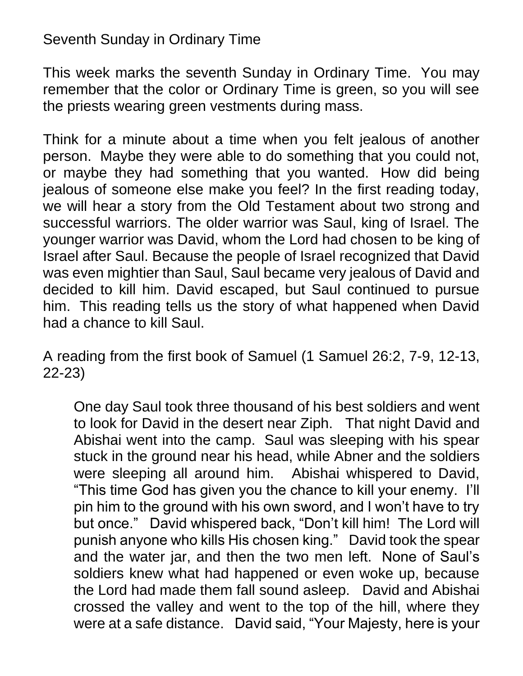## Seventh Sunday in Ordinary Time

This week marks the seventh Sunday in Ordinary Time. You may remember that the color or Ordinary Time is green, so you will see the priests wearing green vestments during mass.

Think for a minute about a time when you felt jealous of another person. Maybe they were able to do something that you could not, or maybe they had something that you wanted. How did being jealous of someone else make you feel? In the first reading today, we will hear a story from the Old Testament about two strong and successful warriors. The older warrior was Saul, king of Israel. The younger warrior was David, whom the Lord had chosen to be king of Israel after Saul. Because the people of Israel recognized that David was even mightier than Saul, Saul became very jealous of David and decided to kill him. David escaped, but Saul continued to pursue him. This reading tells us the story of what happened when David had a chance to kill Saul.

A reading from the first book of Samuel (1 Samuel 26:2, 7-9, 12-13, 22-23)

One day Saul took three thousand of his best soldiers and went to look for David in the desert near Ziph. That night David and Abishai went into the camp. Saul was sleeping with his spear stuck in the ground near his head, while Abner and the soldiers were sleeping all around him. Abishai whispered to David, "This time God has given you the chance to kill your enemy. I'll pin him to the ground with his own sword, and I won't have to try but once." David whispered back, "Don't kill him! The Lord will punish anyone who kills His chosen king." David took the spear and the water jar, and then the two men left. None of Saul's soldiers knew what had happened or even woke up, because the Lord had made them fall sound asleep. David and Abishai crossed the valley and went to the top of the hill, where they were at a safe distance. David said, "Your Majesty, here is your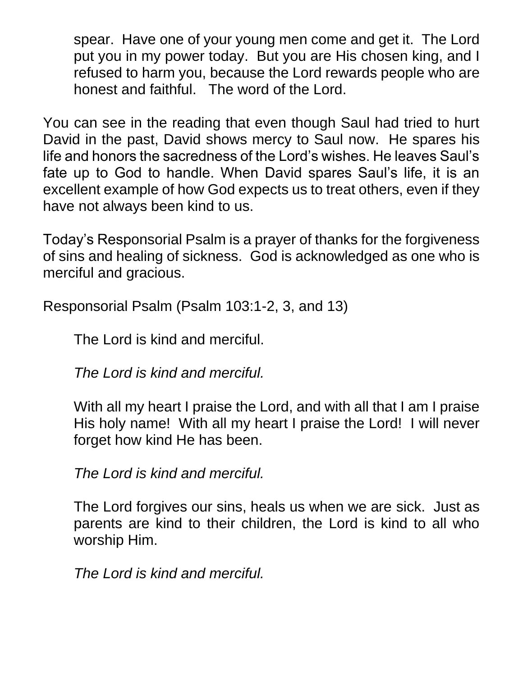spear. Have one of your young men come and get it. The Lord put you in my power today. But you are His chosen king, and I refused to harm you, because the Lord rewards people who are honest and faithful. The word of the Lord.

You can see in the reading that even though Saul had tried to hurt David in the past, David shows mercy to Saul now. He spares his life and honors the sacredness of the Lord's wishes. He leaves Saul's fate up to God to handle. When David spares Saul's life, it is an excellent example of how God expects us to treat others, even if they have not always been kind to us.

Today's Responsorial Psalm is a prayer of thanks for the forgiveness of sins and healing of sickness. God is acknowledged as one who is merciful and gracious.

Responsorial Psalm (Psalm 103:1-2, 3, and 13)

The Lord is kind and merciful.

*The Lord is kind and merciful.*

With all my heart I praise the Lord, and with all that I am I praise His holy name! With all my heart I praise the Lord! I will never forget how kind He has been.

*The Lord is kind and merciful.*

The Lord forgives our sins, heals us when we are sick. Just as parents are kind to their children, the Lord is kind to all who worship Him.

*The Lord is kind and merciful.*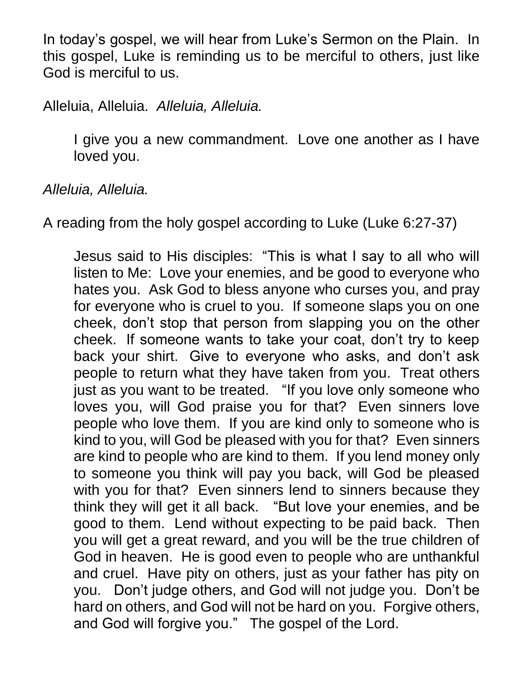In today's gospel, we will hear from Luke's Sermon on the Plain. In this gospel, Luke is reminding us to be merciful to others, just like God is merciful to us.

## Alleluia, Alleluia. *Alleluia, Alleluia.*

I give you a new commandment. Love one another as I have loved you.

*Alleluia, Alleluia.*

A reading from the holy gospel according to Luke (Luke 6:27-37)

Jesus said to His disciples: "This is what I say to all who will listen to Me: Love your enemies, and be good to everyone who hates you. Ask God to bless anyone who curses you, and pray for everyone who is cruel to you. If someone slaps you on one cheek, don't stop that person from slapping you on the other cheek. If someone wants to take your coat, don't try to keep back your shirt. Give to everyone who asks, and don't ask people to return what they have taken from you. Treat others just as you want to be treated. "If you love only someone who loves you, will God praise you for that? Even sinners love people who love them. If you are kind only to someone who is kind to you, will God be pleased with you for that? Even sinners are kind to people who are kind to them. If you lend money only to someone you think will pay you back, will God be pleased with you for that? Even sinners lend to sinners because they think they will get it all back. "But love your enemies, and be good to them. Lend without expecting to be paid back. Then you will get a great reward, and you will be the true children of God in heaven. He is good even to people who are unthankful and cruel. Have pity on others, just as your father has pity on you. Don't judge others, and God will not judge you. Don't be hard on others, and God will not be hard on you. Forgive others, and God will forgive you." The gospel of the Lord.